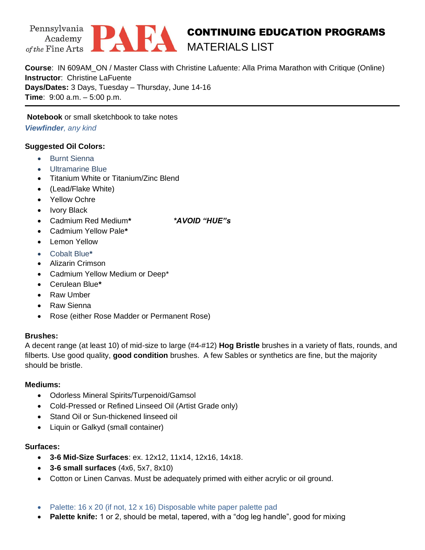



# CONTINUING EDUCATION PROGRAMS MATERIALS LIST

**Course**: IN 609AM\_ON / Master Class with Christine Lafuente: Alla Prima Marathon with Critique (Online) **Instructor**: Christine LaFuente **Days/Dates:** 3 Days, Tuesday – Thursday, June 14-16 **Time**: 9:00 a.m. – 5:00 p.m.

**Notebook** or small sketchbook to take notes *Viewfinder, any kind*

## **Suggested Oil Colors:**

- Burnt Sienna
- Ultramarine Blue
- Titanium White or Titanium/Zinc Blend
- (Lead/Flake White)
- Yellow Ochre
- Ivory Black
- Cadmium Red Medium**\*** *\*AVOID "HUE"s*

- Cadmium Yellow Pale**\***
- Lemon Yellow
- Cobalt Blue**\***
- Alizarin Crimson
- Cadmium Yellow Medium or Deep\*
- Cerulean Blue**\***
- Raw Umber
- Raw Sienna
- Rose (either Rose Madder or Permanent Rose)

## **Brushes:**

A decent range (at least 10) of mid-size to large (#4-#12) **Hog Bristle** brushes in a variety of flats, rounds, and filberts. Use good quality, **good condition** brushes. A few Sables or synthetics are fine, but the majority should be bristle.

## **Mediums:**

- Odorless Mineral Spirits/Turpenoid/Gamsol
- Cold-Pressed or Refined Linseed Oil (Artist Grade only)
- Stand Oil or Sun-thickened linseed oil
- Liquin or Galkyd (small container)

## **Surfaces:**

- **3-6 Mid-Size Surfaces**: ex. 12x12, 11x14, 12x16, 14x18.
- **3-6 small surfaces** (4x6, 5x7, 8x10)
- Cotton or Linen Canvas. Must be adequately primed with either acrylic or oil ground.
- Palette: 16 x 20 (if not, 12 x 16) Disposable white paper palette pad
- **Palette knife:** 1 or 2, should be metal, tapered, with a "dog leg handle", good for mixing